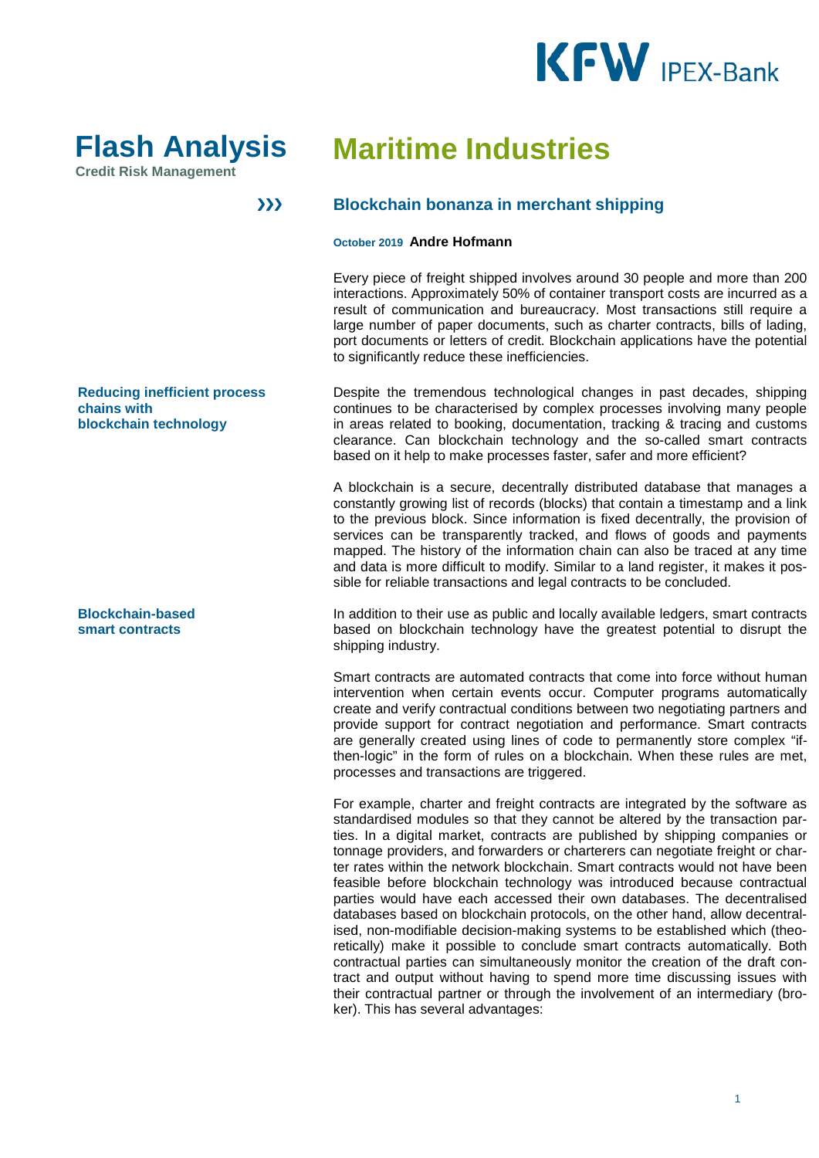



 $\sum$ 

**Credit Risk Management** 

# **Maritime Industries**

# **Blockchain bonanza in merchant shipping**

#### **October 2019 Andre Hofmann**

Every piece of freight shipped involves around 30 people and more than 200 interactions. Approximately 50% of container transport costs are incurred as a result of communication and bureaucracy. Most transactions still require a large number of paper documents, such as charter contracts, bills of lading, port documents or letters of credit. Blockchain applications have the potential to significantly reduce these inefficiencies.

Despite the tremendous technological changes in past decades, shipping continues to be characterised by complex processes involving many people in areas related to booking, documentation, tracking & tracing and customs clearance. Can blockchain technology and the so-called smart contracts based on it help to make processes faster, safer and more efficient?

A blockchain is a secure, decentrally distributed database that manages a constantly growing list of records (blocks) that contain a timestamp and a link to the previous block. Since information is fixed decentrally, the provision of services can be transparently tracked, and flows of goods and payments mapped. The history of the information chain can also be traced at any time and data is more difficult to modify. Similar to a land register, it makes it possible for reliable transactions and legal contracts to be concluded.

In addition to their use as public and locally available ledgers, smart contracts based on blockchain technology have the greatest potential to disrupt the shipping industry.

Smart contracts are automated contracts that come into force without human intervention when certain events occur. Computer programs automatically create and verify contractual conditions between two negotiating partners and provide support for contract negotiation and performance. Smart contracts are generally created using lines of code to permanently store complex "ifthen-logic" in the form of rules on a blockchain. When these rules are met, processes and transactions are triggered.

For example, charter and freight contracts are integrated by the software as standardised modules so that they cannot be altered by the transaction parties. In a digital market, contracts are published by shipping companies or tonnage providers, and forwarders or charterers can negotiate freight or charter rates within the network blockchain. Smart contracts would not have been feasible before blockchain technology was introduced because contractual parties would have each accessed their own databases. The decentralised databases based on blockchain protocols, on the other hand, allow decentralised, non-modifiable decision-making systems to be established which (theoretically) make it possible to conclude smart contracts automatically. Both contractual parties can simultaneously monitor the creation of the draft contract and output without having to spend more time discussing issues with their contractual partner or through the involvement of an intermediary (broker). This has several advantages:

**Reducing inefficient process chains with blockchain technology** 

**Blockchain-based smart contracts**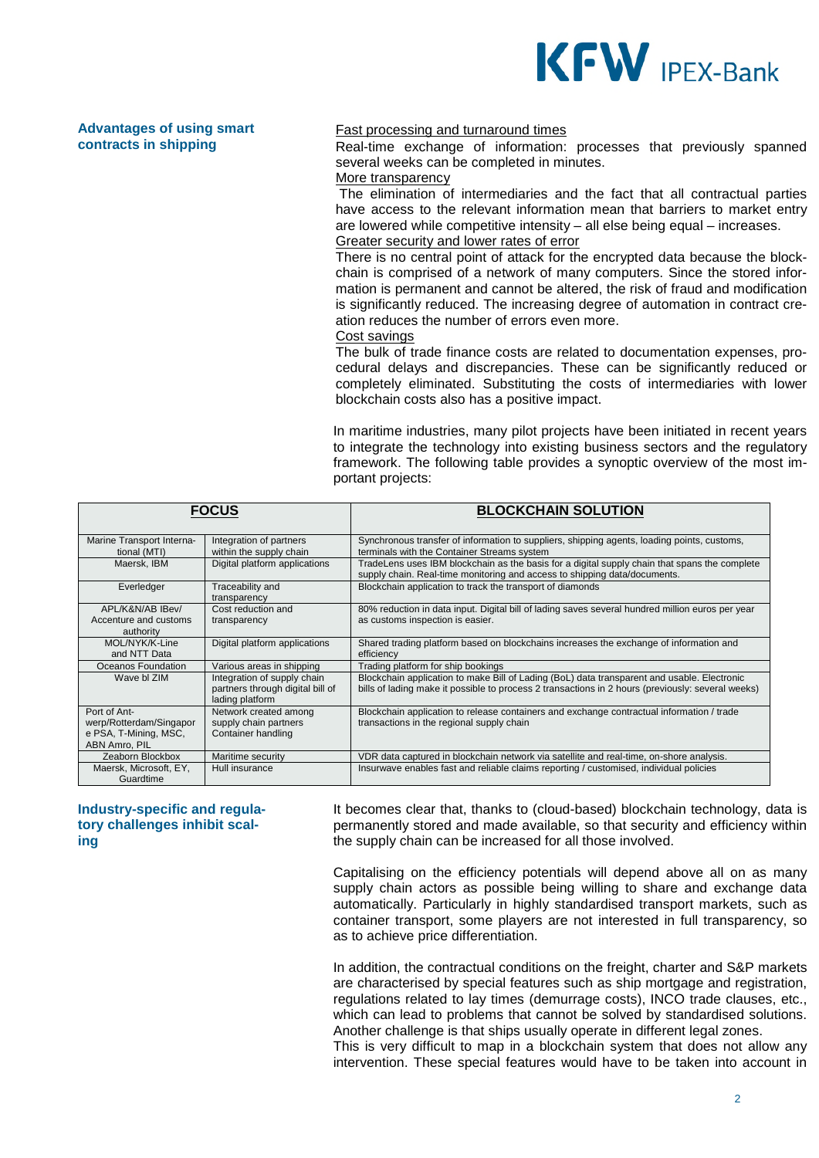

## **Advantages of using smart contracts in shipping**

### Fast processing and turnaround times

Real-time exchange of information: processes that previously spanned several weeks can be completed in minutes. More transparency

The elimination of intermediaries and the fact that all contractual parties have access to the relevant information mean that barriers to market entry are lowered while competitive intensity – all else being equal – increases. Greater security and lower rates of error

There is no central point of attack for the encrypted data because the blockchain is comprised of a network of many computers. Since the stored information is permanent and cannot be altered, the risk of fraud and modification is significantly reduced. The increasing degree of automation in contract creation reduces the number of errors even more.

#### Cost savings

The bulk of trade finance costs are related to documentation expenses, procedural delays and discrepancies. These can be significantly reduced or completely eliminated. Substituting the costs of intermediaries with lower blockchain costs also has a positive impact.

In maritime industries, many pilot projects have been initiated in recent years to integrate the technology into existing business sectors and the regulatory framework. The following table provides a synoptic overview of the most important projects:

| <b>FOCUS</b>                           |                                                                                    | <b>BLOCKCHAIN SOLUTION</b>                                                                                                                                                                       |
|----------------------------------------|------------------------------------------------------------------------------------|--------------------------------------------------------------------------------------------------------------------------------------------------------------------------------------------------|
|                                        |                                                                                    |                                                                                                                                                                                                  |
| Marine Transport Interna-              | Integration of partners                                                            | Synchronous transfer of information to suppliers, shipping agents, loading points, customs,                                                                                                      |
| tional (MTI)                           | within the supply chain                                                            | terminals with the Container Streams system                                                                                                                                                      |
| Maersk, IBM                            | Digital platform applications                                                      | TradeLens uses IBM blockchain as the basis for a digital supply chain that spans the complete<br>supply chain. Real-time monitoring and access to shipping data/documents.                       |
| Everledger                             | Traceability and<br>transparency                                                   | Blockchain application to track the transport of diamonds                                                                                                                                        |
| APL/K&N/AB IBev/                       | Cost reduction and                                                                 | 80% reduction in data input. Digital bill of lading saves several hundred million euros per year                                                                                                 |
| Accenture and customs<br>authority     | transparency                                                                       | as customs inspection is easier.                                                                                                                                                                 |
| MOL/NYK/K-Line<br>and NTT Data         | Digital platform applications                                                      | Shared trading platform based on blockchains increases the exchange of information and<br>efficiency                                                                                             |
| Oceanos Foundation                     | Various areas in shipping                                                          | Trading platform for ship bookings                                                                                                                                                               |
| Wave bl ZIM                            | Integration of supply chain<br>partners through digital bill of<br>lading platform | Blockchain application to make Bill of Lading (BoL) data transparent and usable. Electronic<br>bills of lading make it possible to process 2 transactions in 2 hours (previously: several weeks) |
| Port of Ant-                           | Network created among                                                              | Blockchain application to release containers and exchange contractual information / trade                                                                                                        |
| werp/Rotterdam/Singapor                | supply chain partners                                                              | transactions in the regional supply chain                                                                                                                                                        |
| e PSA, T-Mining, MSC,<br>ABN Amro, PIL | Container handling                                                                 |                                                                                                                                                                                                  |
| Zeaborn Blockbox                       | Maritime security                                                                  | VDR data captured in blockchain network via satellite and real-time, on-shore analysis.                                                                                                          |
| Maersk, Microsoft, EY,<br>Guardtime    | Hull insurance                                                                     | Insurwave enables fast and reliable claims reporting / customised, individual policies                                                                                                           |

**Industry-specific and regulatory challenges inhibit scaling** 

It becomes clear that, thanks to (cloud-based) blockchain technology, data is permanently stored and made available, so that security and efficiency within the supply chain can be increased for all those involved.

Capitalising on the efficiency potentials will depend above all on as many supply chain actors as possible being willing to share and exchange data automatically. Particularly in highly standardised transport markets, such as container transport, some players are not interested in full transparency, so as to achieve price differentiation.

In addition, the contractual conditions on the freight, charter and S&P markets are characterised by special features such as ship mortgage and registration, regulations related to lay times (demurrage costs), INCO trade clauses, etc., which can lead to problems that cannot be solved by standardised solutions. Another challenge is that ships usually operate in different legal zones.

This is very difficult to map in a blockchain system that does not allow any intervention. These special features would have to be taken into account in